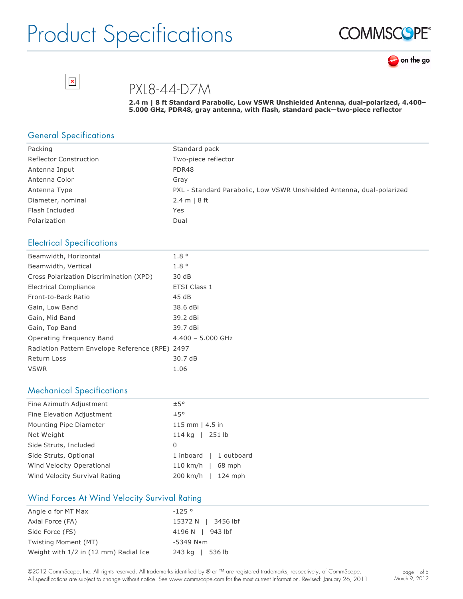





PXL8-44-D7M

**2.4 m | 8 ft Standard Parabolic, Low VSWR Unshielded Antenna, dualpolarized, 4.400– 5.000 GHz, PDR48, gray antenna, with flash, standard pack—twopiece reflector**

#### General Specifications

 $\pmb{\times}$ 

| Packing                       | Standard pack                                                         |
|-------------------------------|-----------------------------------------------------------------------|
| <b>Reflector Construction</b> | Two-piece reflector                                                   |
| Antenna Input                 | PDR48                                                                 |
| Antenna Color                 | Grav                                                                  |
| Antenna Type                  | PXL - Standard Parabolic, Low VSWR Unshielded Antenna, dual-polarized |
| Diameter, nominal             | 2.4 m   8 ft                                                          |
| Flash Included                | Yes                                                                   |
| Polarization                  | Dual                                                                  |

#### Electrical Specifications

| Beamwidth, Horizontal                      | $1.8^\circ$         |
|--------------------------------------------|---------------------|
| Beamwidth, Vertical                        | 1.8 <sup>°</sup>    |
| Cross Polarization Discrimination (XPD)    | 30 dB               |
| Electrical Compliance                      | <b>ETSI Class 1</b> |
| Front-to-Back Ratio                        | 45dB                |
| Gain, Low Band                             | 38.6 dBi            |
| Gain, Mid Band                             | 39.2 dBi            |
| Gain, Top Band                             | 39.7 dBi            |
| Operating Freguency Band                   | $4.400 - 5.000$ GHz |
| Radiation Pattern Envelope Reference (RPE) | 2497                |
| <b>Return Loss</b>                         | 30.7 dB             |
| <b>VSWR</b>                                | 1.06                |

#### Mechanical Specifications

| Fine Azimuth Adjustment       | ±5°                    |
|-------------------------------|------------------------|
| Fine Elevation Adjustment     | ±5°                    |
| Mounting Pipe Diameter        | 115 mm $ $ 4.5 in      |
| Net Weight                    | 114 kg   251 lb        |
| Side Struts, Included         | 0                      |
| Side Struts, Optional         | 1 inboard   1 outboard |
| Wind Velocity Operational     | $110$ km/h  <br>68 mph |
| Wind Velocity Survival Rating | 200 km/h   124 mph     |

#### Wind Forces At Wind Velocity Survival Rating

| Angle a for MT Max                    | $-125°$               |
|---------------------------------------|-----------------------|
| Axial Force (FA)                      | 15372 N   3456 lbf    |
| Side Force (FS)                       | 4196 N   943 lbf      |
| Twisting Moment (MT)                  | $-5349$ N $\bullet$ m |
| Weight with 1/2 in (12 mm) Radial Ice | 243 kg   536 lb       |

©2012 CommScope, Inc. All rights reserved. All trademarks identified by ® or ™ are registered trademarks, respectively, of CommScope. All specifications are subject to change without notice. See www.commscope.com for the most current information. Revised: January 26, 2011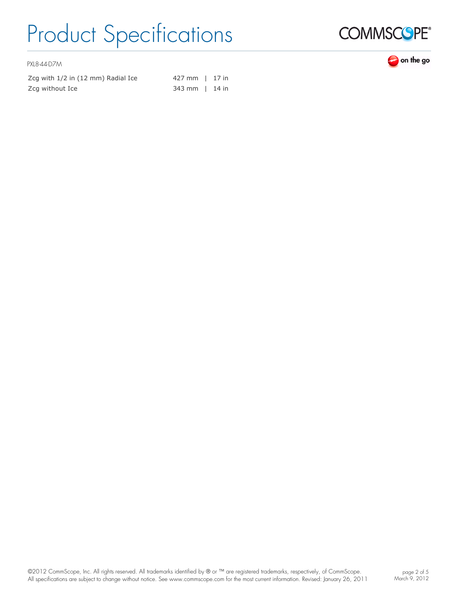

PXL8-44-D7M

| Zcq with 1/2 in (12 mm) Radial Ice | 427 mm   17 in |  |
|------------------------------------|----------------|--|
| Zcg without Ice                    | 343 mm   14 in |  |

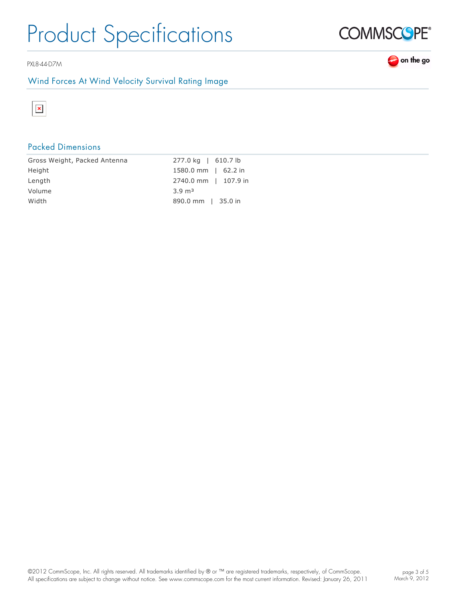PXL8-44-D7M

### Wind Forces At Wind Velocity Survival Rating Image



## Packed Dimensions

| Gross Weight, Packed Antenna | 277.0 kg   610.7 lb   |
|------------------------------|-----------------------|
| Height                       | $1580.0$ mm   62.2 in |
| Length                       | 2740.0 mm   107.9 in  |
| Volume                       | $3.9 \text{ m}^3$     |
| Width                        | 890.0 mm   35.0 in    |
|                              |                       |



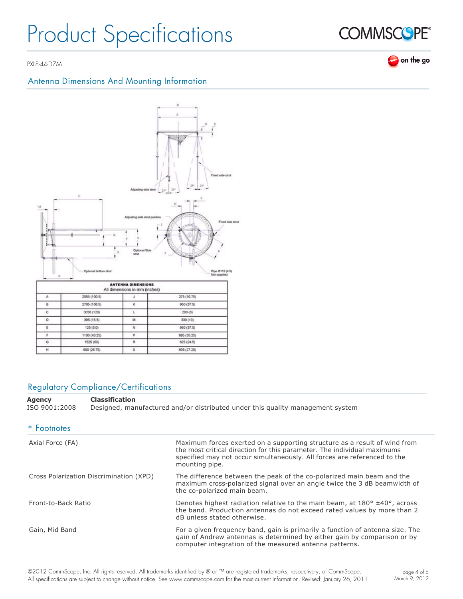PXL8-44-D7M

## Antenna Dimensions And Mounting Information



### Regulatory Compliance/Certifications

**Agency Classification** ISO 9001:2008 Designed, manufactured and/or distributed under this quality management system

| * Footnotes                             |                                                                                                                                                                                                                                                    |
|-----------------------------------------|----------------------------------------------------------------------------------------------------------------------------------------------------------------------------------------------------------------------------------------------------|
| Axial Force (FA)                        | Maximum forces exerted on a supporting structure as a result of wind from<br>the most critical direction for this parameter. The individual maximums<br>specified may not occur simultaneously. All forces are referenced to the<br>mounting pipe. |
| Cross Polarization Discrimination (XPD) | The difference between the peak of the co-polarized main beam and the<br>maximum cross-polarized signal over an angle twice the 3 dB beamwidth of<br>the co-polarized main beam.                                                                   |
| Front-to-Back Ratio                     | Denotes highest radiation relative to the main beam, at $180^{\circ}$ ±40°, across<br>the band. Production antennas do not exceed rated values by more than 2<br>dB unless stated otherwise.                                                       |
| Gain, Mid Band                          | For a given frequency band, gain is primarily a function of antenna size. The<br>gain of Andrew antennas is determined by either gain by comparison or by<br>computer integration of the measured antenna patterns.                                |